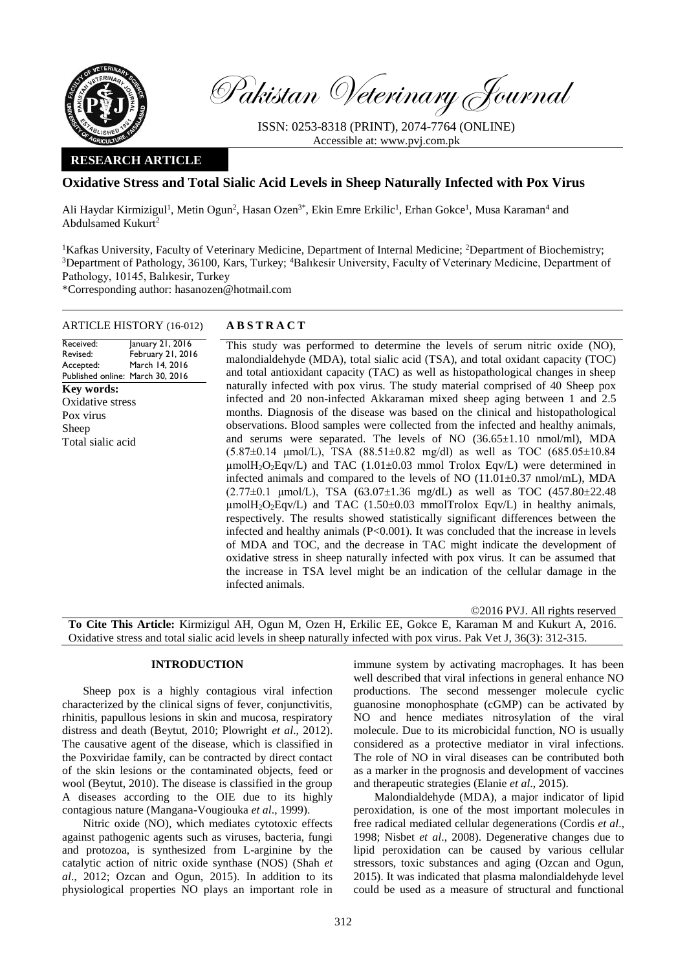

Pakistan Veterinary Journal

ISSN: 0253-8318 (PRINT), 2074-7764 (ONLINE) Accessible at: [www.pvj.com.pk](http://www.pvj.com.pk/)

# **RESEARCH ARTICLE**

# **Oxidative Stress and Total Sialic Acid Levels in Sheep Naturally Infected with Pox Virus**

Ali Haydar Kirmizigul<sup>1</sup>, Metin Ogun<sup>2</sup>, Hasan Ozen<sup>3\*</sup>, Ekin Emre Erkilic<sup>1</sup>, Erhan Gokce<sup>1</sup>, Musa Karaman<sup>4</sup> and Abdulsamed Kukurt<sup>2</sup>

<sup>1</sup>Kafkas University, Faculty of Veterinary Medicine, Department of Internal Medicine; <sup>2</sup>Department of Biochemistry; <sup>3</sup>Department of Pathology, 36100, Kars, Turkey; <sup>4</sup>Balıkesir University, Faculty of Veterinary Medicine, Department of Pathology, 10145, Balıkesir, Turkey

\*Corresponding author: hasanozen@hotmail.com

### ARTICLE HISTORY (16-012) **A B S T R A C T**

#### Received: Revised: Accepted: Published online: March 30, 2016 January 21, 2016 February 21, 2016 March 14, 2016 **Key words:**  Oxidative stress Pox virus Sheep Total sialic acid

This study was performed to determine the levels of serum nitric oxide (NO), malondialdehyde (MDA), total sialic acid (TSA), and total oxidant capacity (TOC) and total antioxidant capacity (TAC) as well as histopathological changes in sheep naturally infected with pox virus. The study material comprised of 40 Sheep pox infected and 20 non-infected Akkaraman mixed sheep aging between 1 and 2.5 months. Diagnosis of the disease was based on the clinical and histopathological observations. Blood samples were collected from the infected and healthy animals, and serums were separated. The levels of NO (36.65±1.10 nmol/ml), MDA  $(5.87\pm0.14 \text{ \mu} \text{mol/L})$ , TSA  $(88.51\pm0.82 \text{ mg/d})$  as well as TOC  $(685.05\pm10.84 \text{ m})$  $\mu$ molH<sub>2</sub>O<sub>2</sub>Eqv/L) and TAC (1.01 $\pm$ 0.03 mmol Trolox Eqv/L) were determined in infected animals and compared to the levels of NO  $(11.01\pm0.37 \text{ nmol/mL})$ , MDA  $(2.77\pm0.1 \text{ \mu} \text{mol/L})$ , TSA  $(63.07\pm1.36 \text{ mg/dL})$  as well as TOC  $(457.80\pm22.48 \text{ m})$  $\mu$ molH<sub>2</sub>O<sub>2</sub>Eqv/L) and TAC (1.50±0.03 mmolTrolox Eqv/L) in healthy animals, respectively. The results showed statistically significant differences between the infected and healthy animals (P<0.001). It was concluded that the increase in levels of MDA and TOC, and the decrease in TAC might indicate the development of oxidative stress in sheep naturally infected with pox virus. It can be assumed that the increase in TSA level might be an indication of the cellular damage in the infected animals.

©2016 PVJ. All rights reserved **To Cite This Article:** Kirmizigul AH, Ogun M, Ozen H, Erkilic EE, Gokce E, Karaman M and Kukurt A, 2016. Oxidative stress and total sialic acid levels in sheep naturally infected with pox virus. Pak Vet J, 36(3): 312-315.

## **INTRODUCTION**

Sheep pox is a highly contagious viral infection characterized by the clinical signs of fever, conjunctivitis, rhinitis, papullous lesions in skin and mucosa, respiratory distress and death (Beytut, 2010; Plowright *et al*., 2012). The causative agent of the disease, which is classified in the Poxviridae family, can be contracted by direct contact of the skin lesions or the contaminated objects, feed or wool (Beytut, 2010). The disease is classified in the group A diseases according to the OIE due to its highly contagious nature (Mangana-Vougiouka *et al*., 1999).

Nitric oxide (NO), which mediates cytotoxic effects against pathogenic agents such as viruses, bacteria, fungi and protozoa, is synthesized from L-arginine by the catalytic action of nitric oxide synthase (NOS) (Shah *et al*., 2012; Ozcan and Ogun, 2015). In addition to its physiological properties NO plays an important role in immune system by activating macrophages. It has been well described that viral infections in general enhance NO productions. The second messenger molecule cyclic guanosine monophosphate (cGMP) can be activated by NO and hence mediates nitrosylation of the viral molecule. Due to its microbicidal function, NO is usually considered as a protective mediator in viral infections. The role of NO in viral diseases can be contributed both as a marker in the prognosis and development of vaccines and therapeutic strategies (Elanie *et al*., 2015).

Malondialdehyde (MDA), a major indicator of lipid peroxidation, is one of the most important molecules in free radical mediated cellular degenerations (Cordis *et al*., 1998; Nisbet *et al*., 2008). Degenerative changes due to lipid peroxidation can be caused by various cellular stressors, toxic substances and aging (Ozcan and Ogun, 2015). It was indicated that plasma malondialdehyde level could be used as a measure of structural and functional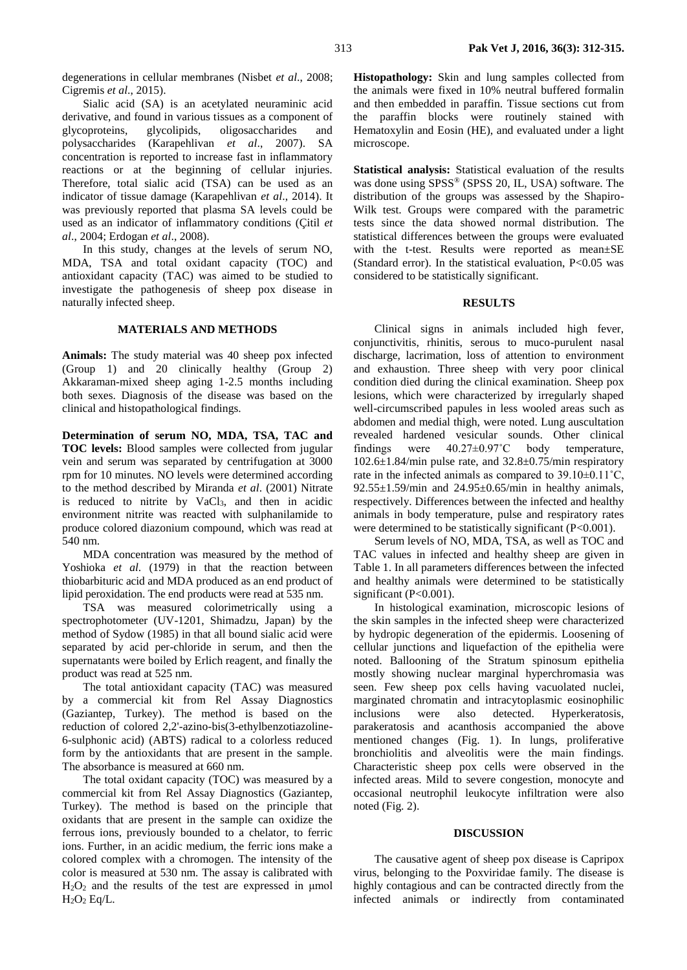degenerations in cellular membranes (Nisbet *et al*., 2008; Cigremis *et al*., 2015).

Sialic acid (SA) is an acetylated neuraminic acid derivative, and found in various tissues as a component of glycoproteins, glycolipids, oligosaccharides and polysaccharides (Karapehlivan *et al*., 2007). SA concentration is reported to increase fast in inflammatory reactions or at the beginning of cellular injuries. Therefore, total sialic acid (TSA) can be used as an indicator of tissue damage (Karapehlivan *et al*., 2014). It was previously reported that plasma SA levels could be used as an indicator of inflammatory conditions (Çitil *et al*., 2004; Erdogan *et al*., 2008).

In this study, changes at the levels of serum NO, MDA, TSA and total oxidant capacity (TOC) and antioxidant capacity (TAC) was aimed to be studied to investigate the pathogenesis of sheep pox disease in naturally infected sheep.

### **MATERIALS AND METHODS**

**Animals:** The study material was 40 sheep pox infected (Group 1) and 20 clinically healthy (Group 2) Akkaraman-mixed sheep aging 1-2.5 months including both sexes. Diagnosis of the disease was based on the clinical and histopathological findings.

**Determination of serum NO, MDA, TSA, TAC and TOC levels:** Blood samples were collected from jugular vein and serum was separated by centrifugation at 3000 rpm for 10 minutes. NO levels were determined according to the method described by Miranda *et al*. (2001) Nitrate is reduced to nitrite by VaCl<sub>3</sub>, and then in acidic environment nitrite was reacted with sulphanilamide to produce colored diazonium compound, which was read at 540 nm.

MDA concentration was measured by the method of Yoshioka *et al*. (1979) in that the reaction between thiobarbituric acid and MDA produced as an end product of lipid peroxidation. The end products were read at 535 nm.

TSA was measured colorimetrically using a spectrophotometer (UV-1201, Shimadzu, Japan) by the method of Sydow (1985) in that all bound sialic acid were separated by acid per-chloride in serum, and then the supernatants were boiled by Erlich reagent, and finally the product was read at 525 nm.

The total antioxidant capacity (TAC) was measured by a commercial kit from Rel Assay Diagnostics (Gaziantep, Turkey). The method is based on the reduction of colored 2,2'-azino-bis(3-ethylbenzotiazoline-6-sulphonic acid) (ABTS) radical to a colorless reduced form by the antioxidants that are present in the sample. The absorbance is measured at 660 nm.

The total oxidant capacity (TOC) was measured by a commercial kit from Rel Assay Diagnostics (Gaziantep, Turkey). The method is based on the principle that oxidants that are present in the sample can oxidize the ferrous ions, previously bounded to a chelator, to ferric ions. Further, in an acidic medium, the ferric ions make a colored complex with a chromogen. The intensity of the color is measured at 530 nm. The assay is calibrated with  $H<sub>2</sub>O<sub>2</sub>$  and the results of the test are expressed in  $\mu$ mol  $H<sub>2</sub>O<sub>2</sub> Eq/L.$ 

**Histopathology:** Skin and lung samples collected from the animals were fixed in 10% neutral buffered formalin and then embedded in paraffin. Tissue sections cut from the paraffin blocks were routinely stained with Hematoxylin and Eosin (HE), and evaluated under a light microscope.

**Statistical analysis:** Statistical evaluation of the results was done using SPSS® (SPSS 20, IL, USA) software. The distribution of the groups was assessed by the Shapiro-Wilk test. Groups were compared with the parametric tests since the data showed normal distribution. The statistical differences between the groups were evaluated with the t-test. Results were reported as mean±SE (Standard error). In the statistical evaluation, P<0.05 was considered to be statistically significant.

#### **RESULTS**

Clinical signs in animals included high fever, conjunctivitis, rhinitis, serous to muco-purulent nasal discharge, lacrimation, loss of attention to environment and exhaustion. Three sheep with very poor clinical condition died during the clinical examination. Sheep pox lesions, which were characterized by irregularly shaped well-circumscribed papules in less wooled areas such as abdomen and medial thigh, were noted. Lung auscultation revealed hardened vesicular sounds. Other clinical findings were 40.27±0.97˚C body temperature, 102.6±1.84/min pulse rate, and 32.8±0.75/min respiratory rate in the infected animals as compared to 39.10±0.11˚C, 92.55 $\pm$ 1.59/min and 24.95 $\pm$ 0.65/min in healthy animals, respectively. Differences between the infected and healthy animals in body temperature, pulse and respiratory rates were determined to be statistically significant (P<0.001).

Serum levels of NO, MDA, TSA, as well as TOC and TAC values in infected and healthy sheep are given in Table 1. In all parameters differences between the infected and healthy animals were determined to be statistically significant (P<0.001).

In histological examination, microscopic lesions of the skin samples in the infected sheep were characterized by hydropic degeneration of the epidermis. Loosening of cellular junctions and liquefaction of the epithelia were noted. Ballooning of the Stratum spinosum epithelia mostly showing nuclear marginal hyperchromasia was seen. Few sheep pox cells having vacuolated nuclei, marginated chromatin and intracytoplasmic eosinophilic inclusions were also detected. Hyperkeratosis, parakeratosis and acanthosis accompanied the above mentioned changes (Fig. 1). In lungs, proliferative bronchiolitis and alveolitis were the main findings. Characteristic sheep pox cells were observed in the infected areas. Mild to severe congestion, monocyte and occasional neutrophil leukocyte infiltration were also noted (Fig. 2).

#### **DISCUSSION**

The causative agent of sheep pox disease is Capripox virus, belonging to the Poxviridae family. The disease is highly contagious and can be contracted directly from the infected animals or indirectly from contaminated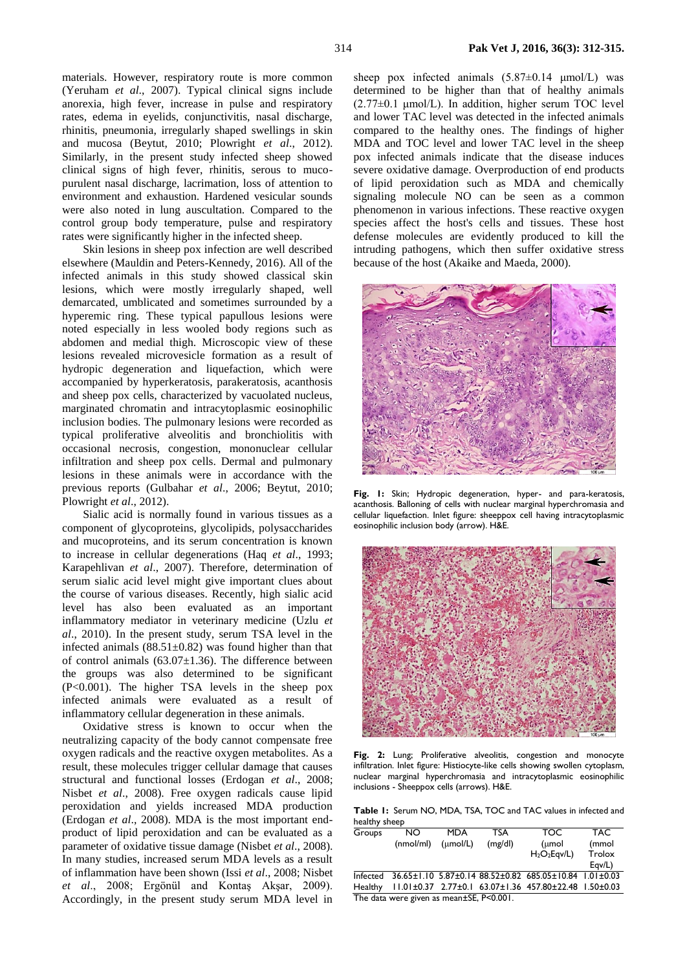materials. However, respiratory route is more common (Yeruham *et al*., 2007). Typical clinical signs include anorexia, high fever, increase in pulse and respiratory rates, edema in eyelids, conjunctivitis, nasal discharge, rhinitis, pneumonia, irregularly shaped swellings in skin and mucosa (Beytut, 2010; Plowright *et al*., 2012). Similarly, in the present study infected sheep showed clinical signs of high fever, rhinitis, serous to mucopurulent nasal discharge, lacrimation, loss of attention to environment and exhaustion. Hardened vesicular sounds were also noted in lung auscultation. Compared to the control group body temperature, pulse and respiratory rates were significantly higher in the infected sheep.

Skin lesions in sheep pox infection are well described elsewhere (Mauldin and Peters-Kennedy, 2016). All of the infected animals in this study showed classical skin lesions, which were mostly irregularly shaped, well demarcated, umblicated and sometimes surrounded by a hyperemic ring. These typical papullous lesions were noted especially in less wooled body regions such as abdomen and medial thigh. Microscopic view of these lesions revealed microvesicle formation as a result of hydropic degeneration and liquefaction, which were accompanied by hyperkeratosis, parakeratosis, acanthosis and sheep pox cells, characterized by vacuolated nucleus, marginated chromatin and intracytoplasmic eosinophilic inclusion bodies. The pulmonary lesions were recorded as typical proliferative alveolitis and bronchiolitis with occasional necrosis, congestion, mononuclear cellular infiltration and sheep pox cells. Dermal and pulmonary lesions in these animals were in accordance with the previous reports (Gulbahar *et al*., 2006; Beytut, 2010; Plowright *et al*., 2012).

Sialic acid is normally found in various tissues as a component of glycoproteins, glycolipids, polysaccharides and mucoproteins, and its serum concentration is known to increase in cellular degenerations (Haq *et al*., 1993; Karapehlivan *et al*., 2007). Therefore, determination of serum sialic acid level might give important clues about the course of various diseases. Recently, high sialic acid level has also been evaluated as an important inflammatory mediator in veterinary medicine (Uzlu *et al*., 2010). In the present study, serum TSA level in the infected animals  $(88.51 \pm 0.82)$  was found higher than that of control animals  $(63.07\pm1.36)$ . The difference between the groups was also determined to be significant (P<0.001). The higher TSA levels in the sheep pox infected animals were evaluated as a result of inflammatory cellular degeneration in these animals.

Oxidative stress is known to occur when the neutralizing capacity of the body cannot compensate free oxygen radicals and the reactive oxygen metabolites. As a result, these molecules trigger cellular damage that causes structural and functional losses (Erdogan *et al*., 2008; Nisbet *et al*., 2008). Free oxygen radicals cause lipid peroxidation and yields increased MDA production (Erdogan *et al*., 2008). MDA is the most important endproduct of lipid peroxidation and can be evaluated as a parameter of oxidative tissue damage (Nisbet *et al*., 2008). In many studies, increased serum MDA levels as a result of inflammation have been shown (Issi *et al*., 2008; Nisbet *et al*., 2008; Ergönül and Kontaş Akşar, 2009). Accordingly, in the present study serum MDA level in

sheep pox infected animals  $(5.87\pm0.14 \text{ \mu} \text{mol/L})$  was determined to be higher than that of healthy animals  $(2.77\pm0.1 \mu \text{mol/L})$ . In addition, higher serum TOC level and lower TAC level was detected in the infected animals compared to the healthy ones. The findings of higher MDA and TOC level and lower TAC level in the sheep pox infected animals indicate that the disease induces severe oxidative damage. Overproduction of end products of lipid peroxidation such as MDA and chemically signaling molecule NO can be seen as a common phenomenon in various infections. These reactive oxygen species affect the host's cells and tissues. These host defense molecules are evidently produced to kill the intruding pathogens, which then suffer oxidative stress because of the host (Akaike and Maeda, 2000).



**Fig. 1:** Skin; Hydropic degeneration, hyper- and para-keratosis, acanthosis. Balloning of cells with nuclear marginal hyperchromasia and cellular liquefaction. Inlet figure: sheeppox cell having intracytoplasmic eosinophilic inclusion body (arrow). H&E.



**Fig. 2:** Lung; Proliferative alveolitis, congestion and monocyte infiltration. Inlet figure: Histiocyte-like cells showing swollen cytoplasm, nuclear marginal hyperchromasia and intracytoplasmic eosinophilic inclusions - Sheeppox cells (arrows). H&E.

**Table 1:** Serum NO, MDA, TSA, TOC and TAC values in infected and healthy sheep

| Groups                                   | NO.       | <b>MDA</b>           | TSA     | TOC.                                                                                | <b>TAC</b> |
|------------------------------------------|-----------|----------------------|---------|-------------------------------------------------------------------------------------|------------|
|                                          | (mmol/ml) | $(\mu \text{mol/L})$ | (mg/dl) | (umol                                                                               | (mmol      |
|                                          |           |                      |         | $H_2O_2E$ gv/L)                                                                     | Trolox     |
|                                          |           |                      |         |                                                                                     | EqV/L      |
|                                          |           |                      |         | $Infected$ 36.65±1.10 5.87±0.14 88.52±0.82 685.05±10.84 1.01±0.03                   |            |
| Healthy                                  |           |                      |         | $11.01 \pm 0.37$ 2.77 $\pm$ 0.1 63.07 $\pm$ 1.36 457.80 $\pm$ 22.48 1.50 $\pm$ 0.03 |            |
| The data were given as mean±SE, P<0.001. |           |                      |         |                                                                                     |            |